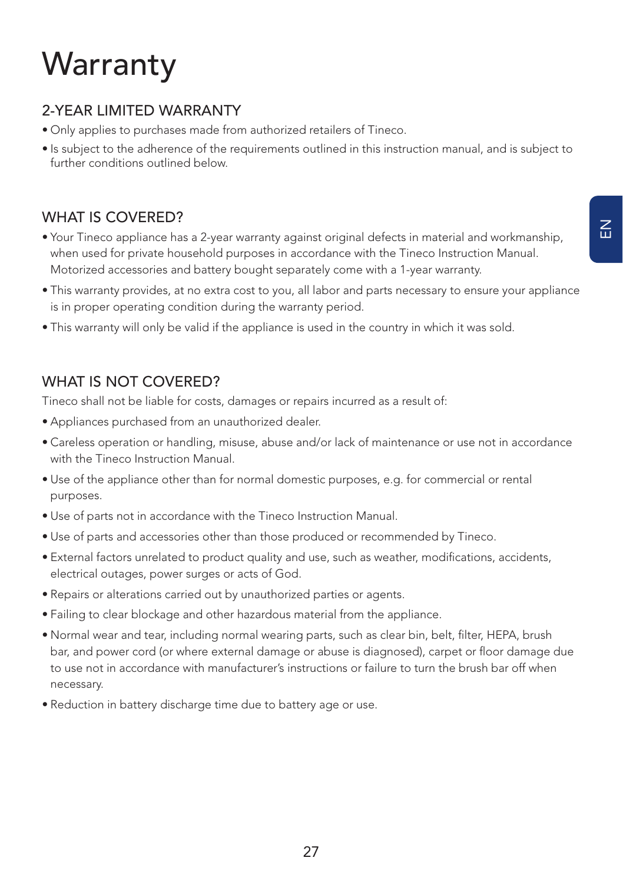# **Warranty**

## 2-YEAR LIMITED WARRANTY

- Only applies to purchases made from authorized retailers of Tineco.
- Is subject to the adherence of the requirements outlined in this instruction manual, and is subject to further conditions outlined below.

#### WHAT IS COVERED?

- Your Tineco appliance has a 2-year warranty against original defects in material and workmanship, when used for private household purposes in accordance with the Tineco Instruction Manual. Motorized accessories and battery bought separately come with a 1-year warranty.
- This warranty provides, at no extra cost to you, all labor and parts necessary to ensure your appliance is in proper operating condition during the warranty period.
- This warranty will only be valid if the appliance is used in the country in which it was sold.

### WHAT IS NOT COVERED?

Tineco shall not be liable for costs, damages or repairs incurred as a result of:

- Appliances purchased from an unauthorized dealer.
- Careless operation or handling, misuse, abuse and/or lack of maintenance or use not in accordance with the Tineco Instruction Manual.
- Use of the appliance other than for normal domestic purposes, e.g. for commercial or rental purposes.
- Use of parts not in accordance with the Tineco Instruction Manual.
- Use of parts and accessories other than those produced or recommended by Tineco.
- External factors unrelated to product quality and use, such as weather, modifications, accidents, electrical outages, power surges or acts of God.
- Repairs or alterations carried out by unauthorized parties or agents.
- Failing to clear blockage and other hazardous material from the appliance.
- Normal wear and tear, including normal wearing parts, such as clear bin, belt, filter, HEPA, brush bar, and power cord (or where external damage or abuse is diagnosed), carpet or floor damage due to use not in accordance with manufacturer's instructions or failure to turn the brush bar off when necessary.
- Reduction in battery discharge time due to battery age or use.